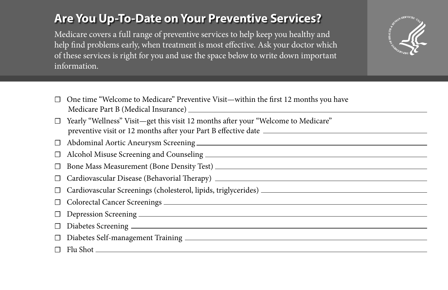## **Are You Up-To-Date on Your Preventive Services?**

Medicare covers a full range of preventive services to help keep you healthy and help find problems early, when treatment is most effective. Ask your doctor which of these services is right for you and use the space below to write down important information.



- ☐ One time "Welcome to Medicare" Preventive Visit—within the first 12 months you have Medicare Part B (Medical Insurance)
- Yearly "Wellness" Visit—get this visit 12 months after your "Welcome to Medicare" preventive visit or 12 months after your Part B effective date
- ☐ Abdominal Aortic Aneurysm Screening
- ☐ Alcohol Misuse Screening and Counseling
- ☐ Bone Mass Measurement (Bone Density Test)
- Cardiovascular Disease (Behavorial Therapy) **Cardiovascular Disease (Behavorial Therapy**) **Cardiovascular** Disease (Behavorial Therapy)
- ☐ Cardiovascular Screenings (cholesterol, lipids, triglycerides)
- ☐ Colorectal Cancer Screenings
- ☐ Depression Screening
- ☐ Diabetes Screening
- ☐ Diabetes Self-management Training
- $\Box$  Flu Shot  $\Box$